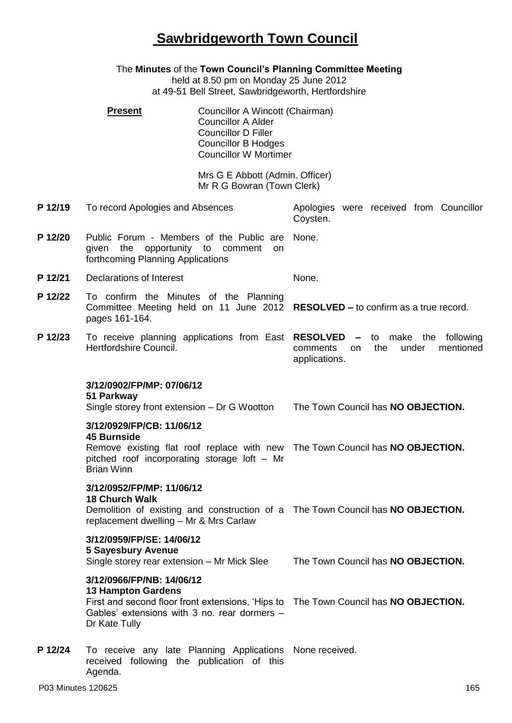## **Sawbridgeworth Town Council**

|         | The Minutes of the Town Council's Planning Committee Meeting<br>held at 8.50 pm on Monday 25 June 2012<br>at 49-51 Bell Street, Sawbridgeworth, Hertfordshire |                                                                                                                                                          |                                                                                              |  |  |
|---------|---------------------------------------------------------------------------------------------------------------------------------------------------------------|----------------------------------------------------------------------------------------------------------------------------------------------------------|----------------------------------------------------------------------------------------------|--|--|
|         | <b>Present</b>                                                                                                                                                | Councillor A Wincott (Chairman)<br><b>Councillor A Alder</b><br><b>Councillor D Filler</b><br><b>Councillor B Hodges</b><br><b>Councillor W Mortimer</b> |                                                                                              |  |  |
|         |                                                                                                                                                               | Mrs G E Abbott (Admin. Officer)<br>Mr R G Bowran (Town Clerk)                                                                                            |                                                                                              |  |  |
| P 12/19 | To record Apologies and Absences                                                                                                                              |                                                                                                                                                          | Apologies were received from Councillor<br>Coysten.                                          |  |  |
| P 12/20 | Public Forum - Members of the Public are<br>given the opportunity to comment<br>forthcoming Planning Applications                                             | on                                                                                                                                                       | None.                                                                                        |  |  |
| P 12/21 | <b>Declarations of Interest</b>                                                                                                                               |                                                                                                                                                          | None.                                                                                        |  |  |
| P 12/22 | To confirm the Minutes of the Planning<br>pages 161-164.                                                                                                      |                                                                                                                                                          | Committee Meeting held on 11 June 2012 RESOLVED - to confirm as a true record.               |  |  |
| P 12/23 | To receive planning applications from East RESOLVED -<br>Hertfordshire Council.                                                                               |                                                                                                                                                          | make the<br>following<br>to<br>mentioned<br>the<br>under<br>comments<br>on.<br>applications. |  |  |
|         | 3/12/0902/FP/MP: 07/06/12<br>51 Parkway<br>Single storey front extension – Dr G Wootton                                                                       |                                                                                                                                                          | The Town Council has NO OBJECTION.                                                           |  |  |
|         | 3/12/0929/FP/CB: 11/06/12<br><b>45 Burnside</b><br>pitched roof incorporating storage loft - Mr<br><b>Brian Winn</b>                                          |                                                                                                                                                          | Remove existing flat roof replace with new The Town Council has NO OBJECTION.                |  |  |
|         | 3/12/0952/FP/MP: 11/06/12<br><b>18 Church Walk</b><br>replacement dwelling - Mr & Mrs Carlaw                                                                  |                                                                                                                                                          | Demolition of existing and construction of a The Town Council has NO OBJECTION.              |  |  |
|         | 3/12/0959/FP/SE: 14/06/12<br><b>5 Sayesbury Avenue</b><br>Single storey rear extension - Mr Mick Slee                                                         |                                                                                                                                                          | The Town Council has NO OBJECTION.                                                           |  |  |
|         | 3/12/0966/FP/NB: 14/06/12<br><b>13 Hampton Gardens</b><br>Gables' extensions with 3 no. rear dormers -<br>Dr Kate Tully                                       |                                                                                                                                                          | First and second floor front extensions, 'Hips to The Town Council has NO OBJECTION.         |  |  |
| P 12/24 | To receive any late Planning Applications None received.<br>received following the publication of this<br>Agenda.                                             |                                                                                                                                                          |                                                                                              |  |  |